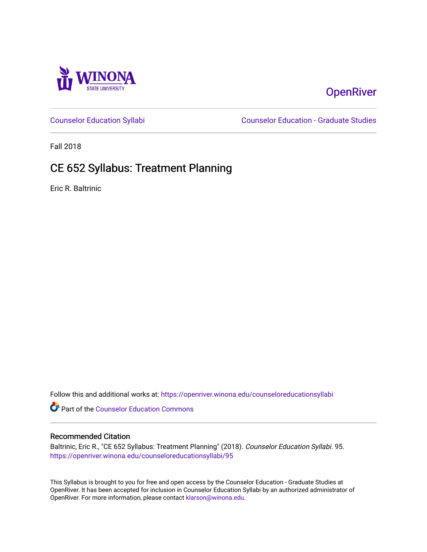

# **OpenRiver**

[Counselor Education Syllabi](https://openriver.winona.edu/counseloreducationsyllabi) [Counselor Education - Graduate Studies](https://openriver.winona.edu/counseloreducation) 

Fall 2018

# CE 652 Syllabus: Treatment Planning

Eric R. Baltrinic

Follow this and additional works at: [https://openriver.winona.edu/counseloreducationsyllabi](https://openriver.winona.edu/counseloreducationsyllabi?utm_source=openriver.winona.edu%2Fcounseloreducationsyllabi%2F95&utm_medium=PDF&utm_campaign=PDFCoverPages)

Part of the [Counselor Education Commons](http://network.bepress.com/hgg/discipline/1278?utm_source=openriver.winona.edu%2Fcounseloreducationsyllabi%2F95&utm_medium=PDF&utm_campaign=PDFCoverPages) 

### Recommended Citation

Baltrinic, Eric R., "CE 652 Syllabus: Treatment Planning" (2018). Counselor Education Syllabi. 95. [https://openriver.winona.edu/counseloreducationsyllabi/95](https://openriver.winona.edu/counseloreducationsyllabi/95?utm_source=openriver.winona.edu%2Fcounseloreducationsyllabi%2F95&utm_medium=PDF&utm_campaign=PDFCoverPages) 

This Syllabus is brought to you for free and open access by the Counselor Education - Graduate Studies at OpenRiver. It has been accepted for inclusion in Counselor Education Syllabi by an authorized administrator of OpenRiver. For more information, please contact [klarson@winona.edu](mailto:klarson@winona.edu).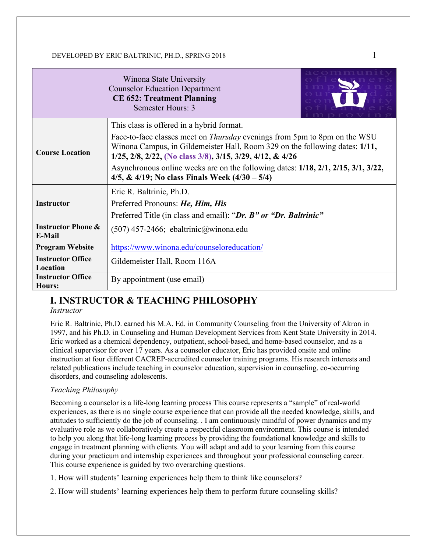|                                                                                                                                                                                                                                                        | Winona State University<br><b>Counselor Education Department</b><br><b>CE 652: Treatment Planning</b><br>Semester Hours: 3                           |  |  |  |                                         |                                         |
|--------------------------------------------------------------------------------------------------------------------------------------------------------------------------------------------------------------------------------------------------------|------------------------------------------------------------------------------------------------------------------------------------------------------|--|--|--|-----------------------------------------|-----------------------------------------|
|                                                                                                                                                                                                                                                        | This class is offered in a hybrid format.                                                                                                            |  |  |  |                                         |                                         |
| Face-to-face classes meet on <i>Thursday</i> evenings from 5pm to 8pm on the WSU<br>Winona Campus, in Gildemeister Hall, Room 329 on the following dates: 1/11,<br><b>Course Location</b><br>1/25, 2/8, 2/22, (No class 3/8), 3/15, 3/29, 4/12, & 4/26 |                                                                                                                                                      |  |  |  |                                         |                                         |
|                                                                                                                                                                                                                                                        | Asynchronous online weeks are on the following dates: $1/18$ , $2/1$ , $2/15$ , $3/1$ , $3/22$ ,<br>4/5, & 4/19; No class Finals Week $(4/30 - 5/4)$ |  |  |  |                                         |                                         |
| Eric R. Baltrinic, Ph.D.<br><b>Instructor</b><br>Preferred Pronouns: He, Him, His<br>Preferred Title (in class and email): "Dr. B" or "Dr. Baltrinic"                                                                                                  |                                                                                                                                                      |  |  |  |                                         |                                         |
|                                                                                                                                                                                                                                                        |                                                                                                                                                      |  |  |  | <b>Instructor Phone &amp;</b><br>E-Mail | $(507)$ 457-2466; ebaltrinic@winona.edu |
| <b>Program Website</b>                                                                                                                                                                                                                                 | https://www.winona.edu/counseloreducation/                                                                                                           |  |  |  |                                         |                                         |
| <b>Instructor Office</b><br>Location                                                                                                                                                                                                                   | Gildemeister Hall, Room 116A                                                                                                                         |  |  |  |                                         |                                         |
| <b>Instructor Office</b><br>By appointment (use email)<br>Hours:                                                                                                                                                                                       |                                                                                                                                                      |  |  |  |                                         |                                         |

# **I. INSTRUCTOR & TEACHING PHILOSOPHY**

#### *Instructor*

Eric R. Baltrinic, Ph.D. earned his M.A. Ed. in Community Counseling from the University of Akron in 1997, and his Ph.D. in Counseling and Human Development Services from Kent State University in 2014. Eric worked as a chemical dependency, outpatient, school-based, and home-based counselor, and as a clinical supervisor for over 17 years. As a counselor educator, Eric has provided onsite and online instruction at four different CACREP-accredited counselor training programs. His research interests and related publications include teaching in counselor education, supervision in counseling, co-occurring disorders, and counseling adolescents.

## *Teaching Philosophy*

Becoming a counselor is a life-long learning process This course represents a "sample" of real-world experiences, as there is no single course experience that can provide all the needed knowledge, skills, and attitudes to sufficiently do the job of counseling. . I am continuously mindful of power dynamics and my evaluative role as we collaboratively create a respectful classroom environment. This course is intended to help you along that life-long learning process by providing the foundational knowledge and skills to engage in treatment planning with clients. You will adapt and add to your learning from this course during your practicum and internship experiences and throughout your professional counseling career. This course experience is guided by two overarching questions.

- 1. How will students' learning experiences help them to think like counselors?
- 2. How will students' learning experiences help them to perform future counseling skills?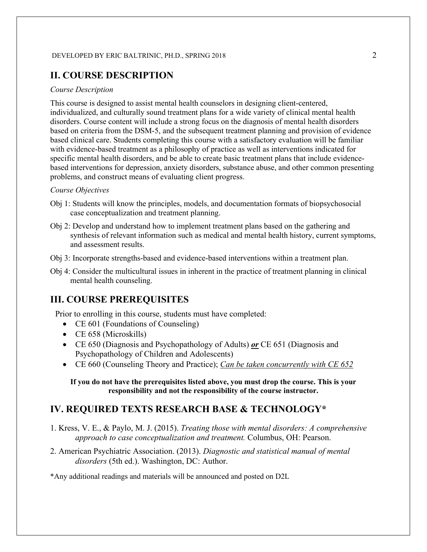# **II. COURSE DESCRIPTION**

#### *Course Description*

This course is designed to assist mental health counselors in designing client-centered, individualized, and culturally sound treatment plans for a wide variety of clinical mental health disorders. Course content will include a strong focus on the diagnosis of mental health disorders based on criteria from the DSM-5, and the subsequent treatment planning and provision of evidence based clinical care. Students completing this course with a satisfactory evaluation will be familiar with evidence-based treatment as a philosophy of practice as well as interventions indicated for specific mental health disorders, and be able to create basic treatment plans that include evidencebased interventions for depression, anxiety disorders, substance abuse, and other common presenting problems, and construct means of evaluating client progress.

#### *Course Objectives*

- Obj 1: Students will know the principles, models, and documentation formats of biopsychosocial case conceptualization and treatment planning.
- Obj 2: Develop and understand how to implement treatment plans based on the gathering and synthesis of relevant information such as medical and mental health history, current symptoms, and assessment results.
- Obj 3: Incorporate strengths-based and evidence-based interventions within a treatment plan.
- Obj 4: Consider the multicultural issues in inherent in the practice of treatment planning in clinical mental health counseling.

# **III. COURSE PREREQUISITES**

Prior to enrolling in this course, students must have completed:

- CE 601 (Foundations of Counseling)
- CE 658 (Microskills)
- CE 650 (Diagnosis and Psychopathology of Adults) *or* CE 651 (Diagnosis and Psychopathology of Children and Adolescents)
- CE 660 (Counseling Theory and Practice); *Can be taken concurrently with CE 652*

**If you do not have the prerequisites listed above, you must drop the course. This is your responsibility and not the responsibility of the course instructor.**

## **IV. REQUIRED TEXTS RESEARCH BASE & TECHNOLOGY\***

- 1. Kress, V. E., & Paylo, M. J. (2015). *Treating those with mental disorders: A comprehensive approach to case conceptualization and treatment.* Columbus, OH: Pearson.
- 2. American Psychiatric Association. (2013). *Diagnostic and statistical manual of mental disorders* (5th ed.). Washington, DC: Author.

\*Any additional readings and materials will be announced and posted on D2L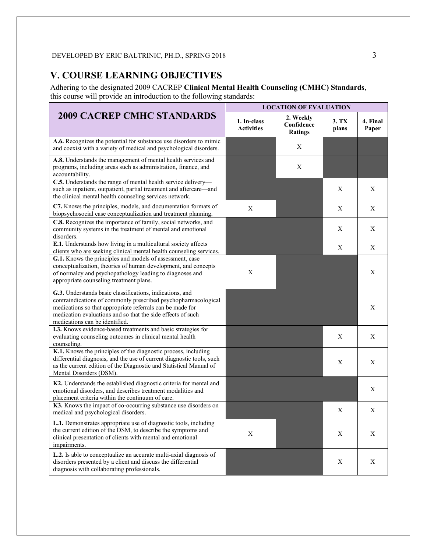# **V. COURSE LEARNING OBJECTIVES**

Adhering to the designated 2009 CACREP **Clinical Mental Health Counseling (CMHC) Standards**, this course will provide an introduction to the following standards:

|                                                                                                                                                                                                                                                                                          | <b>LOCATION OF EVALUATION</b>    |                                           |                |                   |  |
|------------------------------------------------------------------------------------------------------------------------------------------------------------------------------------------------------------------------------------------------------------------------------------------|----------------------------------|-------------------------------------------|----------------|-------------------|--|
| <b>2009 CACREP CMHC STANDARDS</b>                                                                                                                                                                                                                                                        | 1. In-class<br><b>Activities</b> | 2. Weekly<br>Confidence<br><b>Ratings</b> | 3. TX<br>plans | 4. Final<br>Paper |  |
| A.6. Recognizes the potential for substance use disorders to mimic<br>and coexist with a variety of medical and psychological disorders.                                                                                                                                                 |                                  | X                                         |                |                   |  |
| A.8. Understands the management of mental health services and<br>programs, including areas such as administration, finance, and<br>accountability.                                                                                                                                       |                                  | X                                         |                |                   |  |
| C.5. Understands the range of mental health service delivery-<br>such as inpatient, outpatient, partial treatment and aftercare-and<br>the clinical mental health counseling services network.                                                                                           |                                  |                                           | X              | X                 |  |
| C7. Knows the principles, models, and documentation formats of<br>biopsychosocial case conceptualization and treatment planning.                                                                                                                                                         | X                                |                                           | Х              | X                 |  |
| C.8. Recognizes the importance of family, social networks, and<br>community systems in the treatment of mental and emotional<br>disorders.                                                                                                                                               |                                  |                                           | X              | X                 |  |
| E.1. Understands how living in a multicultural society affects<br>clients who are seeking clinical mental health counseling services.                                                                                                                                                    |                                  |                                           | X              | X                 |  |
| G.1. Knows the principles and models of assessment, case<br>conceptualization, theories of human development, and concepts<br>of normalcy and psychopathology leading to diagnoses and<br>appropriate counseling treatment plans.                                                        | X                                |                                           |                | X                 |  |
| G.3. Understands basic classifications, indications, and<br>contraindications of commonly prescribed psychopharmacological<br>medications so that appropriate referrals can be made for<br>medication evaluations and so that the side effects of such<br>medications can be identified. |                                  |                                           |                | Χ                 |  |
| I.3. Knows evidence-based treatments and basic strategies for<br>evaluating counseling outcomes in clinical mental health<br>counseling.                                                                                                                                                 |                                  |                                           | X              | X                 |  |
| K.1. Knows the principles of the diagnostic process, including<br>differential diagnosis, and the use of current diagnostic tools, such<br>as the current edition of the Diagnostic and Statistical Manual of<br>Mental Disorders (DSM).                                                 |                                  |                                           | X              | $\mathbf X$       |  |
| K2. Understands the established diagnostic criteria for mental and<br>emotional disorders, and describes treatment modalities and<br>placement criteria within the continuum of care.                                                                                                    |                                  |                                           |                | X                 |  |
| K3. Knows the impact of co-occurring substance use disorders on<br>medical and psychological disorders.                                                                                                                                                                                  |                                  |                                           | X              | X                 |  |
| L.1. Demonstrates appropriate use of diagnostic tools, including<br>the current edition of the DSM, to describe the symptoms and<br>clinical presentation of clients with mental and emotional<br>impairments.                                                                           | $\mathbf X$                      |                                           | X              | X                 |  |
| L.2. Is able to conceptualize an accurate multi-axial diagnosis of<br>disorders presented by a client and discuss the differential<br>diagnosis with collaborating professionals.                                                                                                        |                                  |                                           | X              | X                 |  |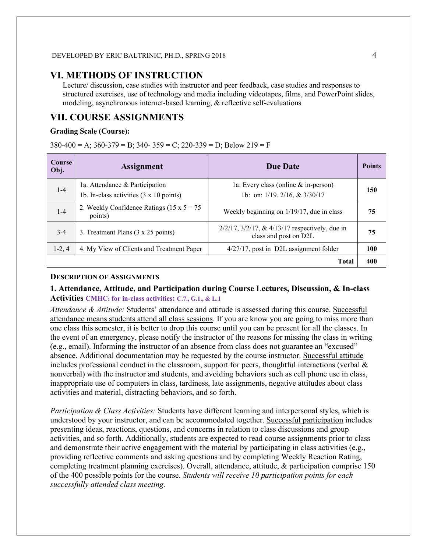## **VI. METHODS OF INSTRUCTION**

Lecture/ discussion, case studies with instructor and peer feedback, case studies and responses to structured exercises, use of technology and media including videotapes, films, and PowerPoint slides, modeling, asynchronous internet-based learning, & reflective self-evaluations

# **VII. COURSE ASSIGNMENTS**

#### **Grading Scale (Course):**

 $380-400 = A$ ;  $360-379 = B$ ;  $340-359 = C$ ;  $220-339 = D$ ; Below  $219 = F$ 

| <b>Course</b><br>Obj. | <b>Assignment</b>                                                                        | <b>Due Date</b>                                                                 | <b>Points</b> |
|-----------------------|------------------------------------------------------------------------------------------|---------------------------------------------------------------------------------|---------------|
| $1-4$                 | 1a. Attendance & Participation<br>1b. In-class activities $(3 \times 10 \text{ points})$ | 1a: Every class (online $\&$ in-person)<br>1b: on: 1/19. 2/16, & 3/30/17        | 150           |
| $1 - 4$               | 2. Weekly Confidence Ratings (15 x $5 = 75$ )<br>points)                                 | Weekly beginning on 1/19/17, due in class                                       | 75            |
| $3-4$                 | 3. Treatment Plans (3 x 25 points)                                                       | $2/2/17$ , $3/2/17$ , & $4/13/17$ respectively, due in<br>class and post on D2L | 75            |
| $1-2, 4$              | 4. My View of Clients and Treatment Paper                                                | 4/27/17, post in D2L assignment folder                                          | 100           |
|                       |                                                                                          | <b>Total</b>                                                                    | 400           |

#### **DESCRIPTION OF ASSIGNMENTS**

### **1. Attendance, Attitude, and Participation during Course Lectures, Discussion, & In-class Activities CMHC: for in-class activities: C.7., G.1., & L.1**

*Attendance & Attitude:* Students' attendance and attitude is assessed during this course. Successful attendance means students attend all class sessions. If you are know you are going to miss more than one class this semester, it is better to drop this course until you can be present for all the classes. In the event of an emergency, please notify the instructor of the reasons for missing the class in writing (e.g., email). Informing the instructor of an absence from class does not guarantee an "excused" absence. Additional documentation may be requested by the course instructor. Successful attitude includes professional conduct in the classroom, support for peers, thoughtful interactions (verbal  $\&$ nonverbal) with the instructor and students, and avoiding behaviors such as cell phone use in class, inappropriate use of computers in class, tardiness, late assignments, negative attitudes about class activities and material, distracting behaviors, and so forth.

*Participation & Class Activities:* Students have different learning and interpersonal styles, which is understood by your instructor, and can be accommodated together. Successful participation includes presenting ideas, reactions, questions, and concerns in relation to class discussions and group activities, and so forth. Additionally, students are expected to read course assignments prior to class and demonstrate their active engagement with the material by participating in class activities (e.g., providing reflective comments and asking questions and by completing Weekly Reaction Rating, completing treatment planning exercises). Overall, attendance, attitude, & participation comprise 150 of the 400 possible points for the course. *Students will receive 10 participation points for each successfully attended class meeting.*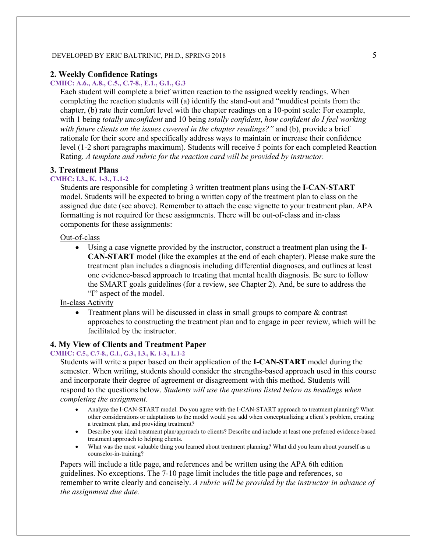#### **2. Weekly Confidence Ratings**

#### **CMHC: A.6., A.8., C.5., C.7-8., E.1., G.1., G.3**

Each student will complete a brief written reaction to the assigned weekly readings. When completing the reaction students will (a) identify the stand-out and "muddiest points from the chapter, (b) rate their comfort level with the chapter readings on a 10-point scale: For example, with 1 being *totally unconfident* and 10 being *totally confident*, *how confident do I feel working with future clients on the issues covered in the chapter readings?"* and (b), provide a brief rationale for their score and specifically address ways to maintain or increase their confidence level (1-2 short paragraphs maximum). Students will receive 5 points for each completed Reaction Rating. *A template and rubric for the reaction card will be provided by instructor.* 

#### **3. Treatment Plans**

#### **CMHC: I.3., K. 1-3., L.1-2**

Students are responsible for completing 3 written treatment plans using the **I-CAN-START**  model. Students will be expected to bring a written copy of the treatment plan to class on the assigned due date (see above). Remember to attach the case vignette to your treatment plan. APA formatting is not required for these assignments. There will be out-of-class and in-class components for these assignments:

#### Out-of-class

• Using a case vignette provided by the instructor, construct a treatment plan using the **I-CAN-START** model (like the examples at the end of each chapter). Please make sure the treatment plan includes a diagnosis including differential diagnoses, and outlines at least one evidence-based approach to treating that mental health diagnosis. Be sure to follow the SMART goals guidelines (for a review, see Chapter 2). And, be sure to address the "I" aspect of the model.

## In-class Activity

• Treatment plans will be discussed in class in small groups to compare  $\&$  contrast approaches to constructing the treatment plan and to engage in peer review, which will be facilitated by the instructor.

#### **4. My View of Clients and Treatment Paper**

#### **CMHC: C.5., C.7-8., G.1., G.3., I.3., K. 1-3., L.1-2**

Students will write a paper based on their application of the **I-CAN-START** model during the semester. When writing, students should consider the strengths-based approach used in this course and incorporate their degree of agreement or disagreement with this method. Students will respond to the questions below. *Students will use the questions listed below as headings when completing the assignment.*

- Analyze the I-CAN-START model. Do you agree with the I-CAN-START approach to treatment planning? What other considerations or adaptations to the model would you add when conceptualizing a client's problem, creating a treatment plan, and providing treatment?
- Describe your ideal treatment plan/approach to clients? Describe and include at least one preferred evidence-based treatment approach to helping clients.
- What was the most valuable thing you learned about treatment planning? What did you learn about yourself as a counselor-in-training?

Papers will include a title page, and references and be written using the APA 6th edition guidelines. No exceptions. The 7-10 page limit includes the title page and references, so remember to write clearly and concisely. *A rubric will be provided by the instructor in advance of the assignment due date.*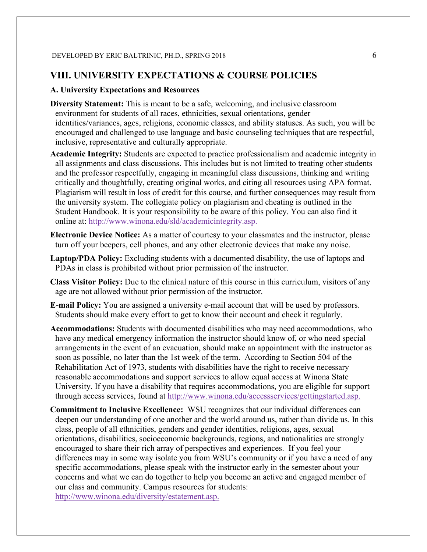# **VIII. UNIVERSITY EXPECTATIONS & COURSE POLICIES**

### **A. University Expectations and Resources**

- **Diversity Statement:** This is meant to be a safe, welcoming, and inclusive classroom environment for students of all races, ethnicities, sexual orientations, gender identities/variances, ages, religions, economic classes, and ability statuses. As such, you will be encouraged and challenged to use language and basic counseling techniques that are respectful, inclusive, representative and culturally appropriate.
- **Academic Integrity:** Students are expected to practice professionalism and academic integrity in all assignments and class discussions. This includes but is not limited to treating other students and the professor respectfully, engaging in meaningful class discussions, thinking and writing critically and thoughtfully, creating original works, and citing all resources using APA format. Plagiarism will result in loss of credit for this course, and further consequences may result from the university system. The collegiate policy on plagiarism and cheating is outlined in the Student Handbook. It is your responsibility to be aware of this policy. You can also find it online at: [http://www.winona.edu/sld/academicintegrity.asp.](http://www.winona.edu/sld/academicintegrity.asp)
- **Electronic Device Notice:** As a matter of courtesy to your classmates and the instructor, please turn off your beepers, cell phones, and any other electronic devices that make any noise.
- **Laptop/PDA Policy:** Excluding students with a documented disability, the use of laptops and PDAs in class is prohibited without prior permission of the instructor.
- **Class Visitor Policy:** Due to the clinical nature of this course in this curriculum, visitors of any age are not allowed without prior permission of the instructor.
- **E-mail Policy:** You are assigned a university e-mail account that will be used by professors. Students should make every effort to get to know their account and check it regularly.
- **Accommodations:** Students with documented disabilities who may need accommodations, who have any medical emergency information the instructor should know of, or who need special arrangements in the event of an evacuation, should make an appointment with the instructor as soon as possible, no later than the 1st week of the term. According to Section 504 of the Rehabilitation Act of 1973, students with disabilities have the right to receive necessary reasonable accommodations and support services to allow equal access at Winona State University. If you have a disability that requires accommodations, you are eligible for support through access services, found at [http://www.winona.edu/accessservices/gettingstarted.asp.](http://www.winona.edu/accessservices/gettingstarted.asp)
- **Commitment to Inclusive Excellence:** WSU recognizes that our individual differences can deepen our understanding of one another and the world around us, rather than divide us. In this class, people of all ethnicities, genders and gender identities, religions, ages, sexual orientations, disabilities, socioeconomic backgrounds, regions, and nationalities are strongly encouraged to share their rich array of perspectives and experiences. If you feel your differences may in some way isolate you from WSU's community or if you have a need of any specific accommodations, please speak with the instructor early in the semester about your concerns and what we can do together to help you become an active and engaged member of our class and community. Campus resources for students: [http://www.winona.edu/diversity/estatement.asp.](http://www.winona.edu/diversity/estatement.asp)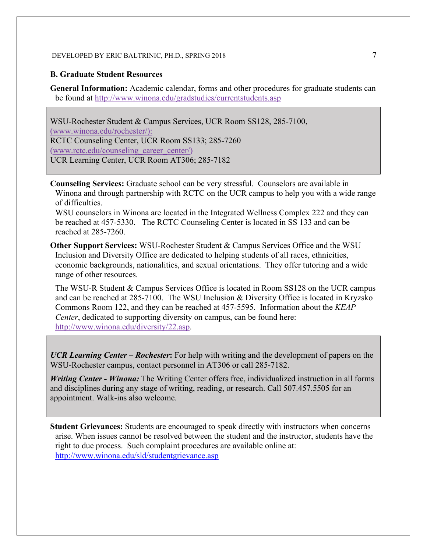#### **B. Graduate Student Resources**

**General Information:** Academic calendar, forms and other procedures for graduate students can be found at<http://www.winona.edu/gradstudies/currentstudents.asp>

WSU-Rochester Student & Campus Services, UCR Room SS128, 285-7100, [\(www.winona.edu/rochester/\)](http://www.winona.edu/rochester/): RCTC Counseling Center, UCR Room SS133; 285-7260 [\(www.rctc.edu/counseling\\_career\\_center/\)](http://www.rctc.edu/counseling_career_center/) UCR Learning Center, UCR Room AT306; 285-7182

**Counseling Services:** Graduate school can be very stressful. Counselors are available in Winona and through partnership with RCTC on the UCR campus to help you with a wide range of difficulties.

WSU counselors in Winona are located in the Integrated Wellness Complex 222 and they can be reached at 457-5330. The RCTC Counseling Center is located in SS 133 and can be reached at 285-7260.

**Other Support Services:** WSU-Rochester Student & Campus Services Office and the WSU Inclusion and Diversity Office are dedicated to helping students of all races, ethnicities, economic backgrounds, nationalities, and sexual orientations. They offer tutoring and a wide range of other resources.

The WSU-R Student & Campus Services Office is located in Room SS128 on the UCR campus and can be reached at 285-7100. The WSU Inclusion & Diversity Office is located in Kryzsko Commons Room 122, and they can be reached at 457-5595. Information about the *KEAP Center*, dedicated to supporting diversity on campus, can be found here: [http://www.winona.edu/diversity/22.asp.](http://www.winona.edu/diversity/22.asp)

*UCR Learning Center – Rochester***:** For help with writing and the development of papers on the WSU-Rochester campus, contact personnel in AT306 or call 285-7182.

*Writing Center - Winona:* The Writing Center offers free, individualized instruction in all forms and disciplines during any stage of writing, reading, or research. Call 507.457.5505 for an appointment. Walk-ins also welcome.

**Student Grievances:** Students are encouraged to speak directly with instructors when concerns arise. When issues cannot be resolved between the student and the instructor, students have the right to due process. Such complaint procedures are available online at: <http://www.winona.edu/sld/studentgrievance.asp>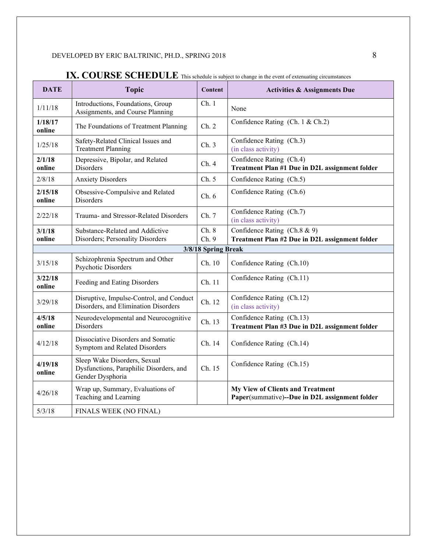| <b>DATE</b>         | <b>Topic</b>                                                                                | Content        | <b>Activities &amp; Assignments Due</b>                                            |  |  |
|---------------------|---------------------------------------------------------------------------------------------|----------------|------------------------------------------------------------------------------------|--|--|
| 1/11/18             | Introductions, Foundations, Group<br>Assignments, and Course Planning                       | Ch.1           | None                                                                               |  |  |
| 1/18/17<br>online   | The Foundations of Treatment Planning                                                       | Ch. 2          | Confidence Rating (Ch. 1 & Ch.2)                                                   |  |  |
| 1/25/18             | Safety-Related Clinical Issues and<br><b>Treatment Planning</b>                             | Ch.3           | Confidence Rating (Ch.3)<br>(in class activity)                                    |  |  |
| 2/1/18<br>online    | Depressive, Bipolar, and Related<br><b>Disorders</b>                                        | Ch.4           | Confidence Rating (Ch.4)<br>Treatment Plan #1 Due in D2L assignment folder         |  |  |
| 2/8/18              | <b>Anxiety Disorders</b>                                                                    | Ch. 5          | Confidence Rating (Ch.5)                                                           |  |  |
| 2/15/18<br>online   | Obsessive-Compulsive and Related<br>Disorders                                               | Ch.6           | Confidence Rating (Ch.6)                                                           |  |  |
| 2/22/18             | Trauma- and Stressor-Related Disorders                                                      | Ch. 7          | Confidence Rating (Ch.7)<br>(in class activity)                                    |  |  |
| 3/1/18<br>online    | Substance-Related and Addictive<br>Disorders; Personality Disorders                         | Ch. 8<br>Ch. 9 | Confidence Rating (Ch.8 & 9)<br>Treatment Plan #2 Due in D2L assignment folder     |  |  |
| 3/8/18 Spring Break |                                                                                             |                |                                                                                    |  |  |
| 3/15/18             | Schizophrenia Spectrum and Other<br>Psychotic Disorders                                     | Ch. 10         | Confidence Rating (Ch.10)                                                          |  |  |
| 3/22/18<br>online   | Feeding and Eating Disorders                                                                | Ch. 11         | Confidence Rating (Ch.11)                                                          |  |  |
| 3/29/18             | Disruptive, Impulse-Control, and Conduct<br>Disorders, and Elimination Disorders            | Ch. 12         | Confidence Rating (Ch.12)<br>(in class activity)                                   |  |  |
| 4/5/18<br>online    | Neurodevelopmental and Neurocognitive<br><b>Disorders</b>                                   | Ch. 13         | Confidence Rating (Ch.13)<br>Treatment Plan #3 Due in D2L assignment folder        |  |  |
| 4/12/18             | Dissociative Disorders and Somatic<br>Symptom and Related Disorders                         | Ch. 14         | Confidence Rating (Ch.14)                                                          |  |  |
| 4/19/18<br>online   | Sleep Wake Disorders, Sexual<br>Dysfunctions, Paraphilic Disorders, and<br>Gender Dysphoria | Ch. 15         | Confidence Rating (Ch.15)                                                          |  |  |
| 4/26/18             | Wrap up, Summary, Evaluations of<br>Teaching and Learning                                   |                | My View of Clients and Treatment<br>Paper(summative)--Due in D2L assignment folder |  |  |
| 5/3/18              | FINALS WEEK (NO FINAL)                                                                      |                |                                                                                    |  |  |

# **IX. COURSE SCHEDULE** This schedule is subject to change in the event of extenuating circumstances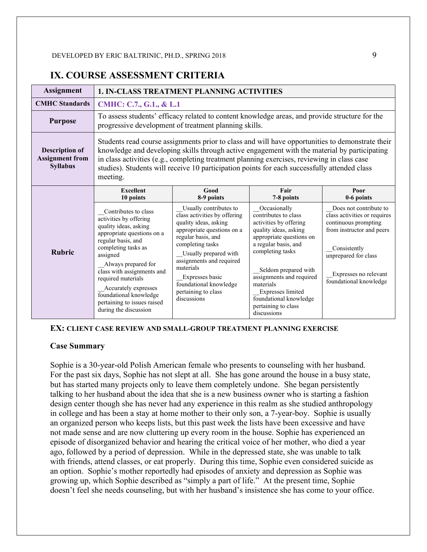# **IX. COURSE ASSESSMENT CRITERIA**

| <b>Assignment</b>                                                  | <b>1. IN-CLASS TREATMENT PLANNING ACTIVITIES</b>                                                                                                                                                                                                                                                                                                                                                            |                                                                                                                                                                                                                                                                                                              |                                                                                                                                                                                                                                                                                                                       |                                                                                                                                                                                                        |  |  |  |
|--------------------------------------------------------------------|-------------------------------------------------------------------------------------------------------------------------------------------------------------------------------------------------------------------------------------------------------------------------------------------------------------------------------------------------------------------------------------------------------------|--------------------------------------------------------------------------------------------------------------------------------------------------------------------------------------------------------------------------------------------------------------------------------------------------------------|-----------------------------------------------------------------------------------------------------------------------------------------------------------------------------------------------------------------------------------------------------------------------------------------------------------------------|--------------------------------------------------------------------------------------------------------------------------------------------------------------------------------------------------------|--|--|--|
| <b>CMHC</b> Standards                                              | CMHC: C.7., G.1., & L.1                                                                                                                                                                                                                                                                                                                                                                                     |                                                                                                                                                                                                                                                                                                              |                                                                                                                                                                                                                                                                                                                       |                                                                                                                                                                                                        |  |  |  |
| <b>Purpose</b>                                                     | To assess students' efficacy related to content knowledge areas, and provide structure for the<br>progressive development of treatment planning skills.                                                                                                                                                                                                                                                     |                                                                                                                                                                                                                                                                                                              |                                                                                                                                                                                                                                                                                                                       |                                                                                                                                                                                                        |  |  |  |
| <b>Description of</b><br><b>Assignment from</b><br><b>Syllabus</b> | Students read course assignments prior to class and will have opportunities to demonstrate their<br>knowledge and developing skills through active engagement with the material by participating<br>in class activities (e.g., completing treatment planning exercises, reviewing in class case<br>studies). Students will receive 10 participation points for each successfully attended class<br>meeting. |                                                                                                                                                                                                                                                                                                              |                                                                                                                                                                                                                                                                                                                       |                                                                                                                                                                                                        |  |  |  |
|                                                                    | <b>Excellent</b><br>10 points                                                                                                                                                                                                                                                                                                                                                                               | Good<br>8-9 points                                                                                                                                                                                                                                                                                           | Fair<br>7-8 points                                                                                                                                                                                                                                                                                                    | Poor<br>0-6 points                                                                                                                                                                                     |  |  |  |
| <b>Rubric</b>                                                      | Contributes to class<br>activities by offering<br>quality ideas, asking<br>appropriate questions on a<br>regular basis, and<br>completing tasks as<br>assigned<br>Always prepared for<br>class with assignments and<br>required materials<br>_Accurately expresses<br>foundational knowledge<br>pertaining to issues raised<br>during the discussion                                                        | Usually contributes to<br>class activities by offering<br>quality ideas, asking<br>appropriate questions on a<br>regular basis, and<br>completing tasks<br>Usually prepared with<br>assignments and required<br>materials<br>Expresses basic<br>foundational knowledge<br>pertaining to class<br>discussions | Occasionally<br>contributes to class<br>activities by offering<br>quality ideas, asking<br>appropriate questions on<br>a regular basis, and<br>completing tasks<br>Seldom prepared with<br>assignments and required<br>materials<br>Expresses limited<br>foundational knowledge<br>pertaining to class<br>discussions | Does not contribute to<br>class activities or requires<br>continuous prompting<br>from instructor and peers<br>Consistently<br>unprepared for class<br>Expresses no relevant<br>foundational knowledge |  |  |  |

**EX: CLIENT CASE REVIEW AND SMALL-GROUP TREATMENT PLANNING EXERCISE**

#### **Case Summary**

Sophie is a 30-year-old Polish American female who presents to counseling with her husband. For the past six days, Sophie has not slept at all. She has gone around the house in a busy state, but has started many projects only to leave them completely undone. She began persistently talking to her husband about the idea that she is a new business owner who is starting a fashion design center though she has never had any experience in this realm as she studied anthropology in college and has been a stay at home mother to their only son, a 7-year-boy. Sophie is usually an organized person who keeps lists, but this past week the lists have been excessive and have not made sense and are now cluttering up every room in the house. Sophie has experienced an episode of disorganized behavior and hearing the critical voice of her mother, who died a year ago, followed by a period of depression. While in the depressed state, she was unable to talk with friends, attend classes, or eat properly. During this time, Sophie even considered suicide as an option. Sophie's mother reportedly had episodes of anxiety and depression as Sophie was growing up, which Sophie described as "simply a part of life." At the present time, Sophie doesn't feel she needs counseling, but with her husband's insistence she has come to your office.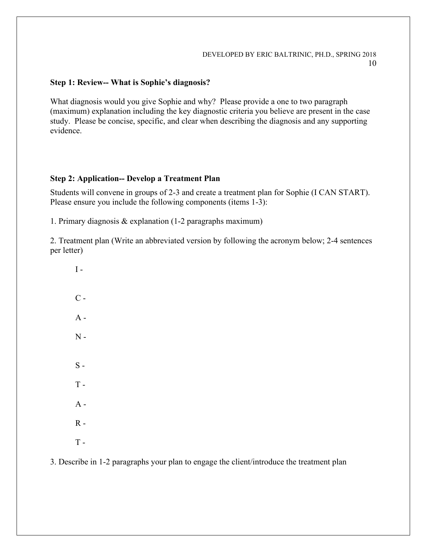## **Step 1: Review-- What is Sophie's diagnosis?**

What diagnosis would you give Sophie and why? Please provide a one to two paragraph (maximum) explanation including the key diagnostic criteria you believe are present in the case study. Please be concise, specific, and clear when describing the diagnosis and any supporting evidence.

#### **Step 2: Application-- Develop a Treatment Plan**

Students will convene in groups of 2-3 and create a treatment plan for Sophie (I CAN START). Please ensure you include the following components (items 1-3):

1. Primary diagnosis & explanation (1-2 paragraphs maximum)

2. Treatment plan (Write an abbreviated version by following the acronym below; 2-4 sentences per letter)

 $I C A N S T A R T -$ 

3. Describe in 1-2 paragraphs your plan to engage the client/introduce the treatment plan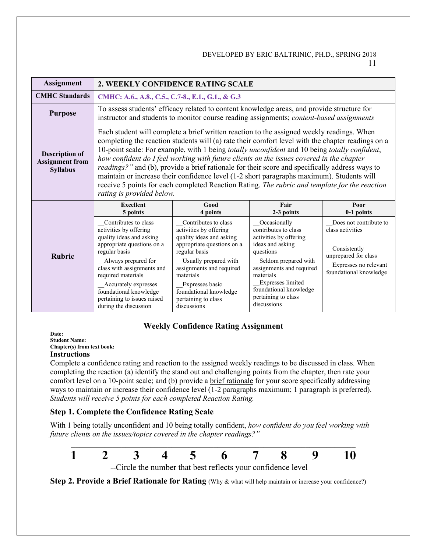| <b>Assignment</b>                                                  | 2. WEEKLY CONFIDENCE RATING SCALE                                                                                                                                                                                                                                                                                                                                                                                                                                                                                                                                                                                                                                                                                                       |                                                                                                                                                                                                                                                                                |                                                                                                                                                                                                                                                       |                                                                                                                                       |  |  |  |
|--------------------------------------------------------------------|-----------------------------------------------------------------------------------------------------------------------------------------------------------------------------------------------------------------------------------------------------------------------------------------------------------------------------------------------------------------------------------------------------------------------------------------------------------------------------------------------------------------------------------------------------------------------------------------------------------------------------------------------------------------------------------------------------------------------------------------|--------------------------------------------------------------------------------------------------------------------------------------------------------------------------------------------------------------------------------------------------------------------------------|-------------------------------------------------------------------------------------------------------------------------------------------------------------------------------------------------------------------------------------------------------|---------------------------------------------------------------------------------------------------------------------------------------|--|--|--|
| <b>CMHC</b> Standards                                              | CMHC: A.6., A.8., C.5., C.7-8., E.1., G.1., & G.3                                                                                                                                                                                                                                                                                                                                                                                                                                                                                                                                                                                                                                                                                       |                                                                                                                                                                                                                                                                                |                                                                                                                                                                                                                                                       |                                                                                                                                       |  |  |  |
| <b>Purpose</b>                                                     | To assess students' efficacy related to content knowledge areas, and provide structure for<br>instructor and students to monitor course reading assignments; content-based assignments                                                                                                                                                                                                                                                                                                                                                                                                                                                                                                                                                  |                                                                                                                                                                                                                                                                                |                                                                                                                                                                                                                                                       |                                                                                                                                       |  |  |  |
| <b>Description of</b><br><b>Assignment from</b><br><b>Syllabus</b> | Each student will complete a brief written reaction to the assigned weekly readings. When<br>completing the reaction students will (a) rate their comfort level with the chapter readings on a<br>10-point scale: For example, with 1 being <i>totally unconfident</i> and 10 being <i>totally confident</i> ,<br>how confident do I feel working with future clients on the issues covered in the chapter<br>readings?" and (b), provide a brief rationale for their score and specifically address ways to<br>maintain or increase their confidence level (1-2 short paragraphs maximum). Students will<br>receive 5 points for each completed Reaction Rating. The rubric and template for the reaction<br>rating is provided below. |                                                                                                                                                                                                                                                                                |                                                                                                                                                                                                                                                       |                                                                                                                                       |  |  |  |
|                                                                    | Fair<br><b>Excellent</b><br>Good<br>Poor<br>2-3 points<br>0-1 points<br>5 points<br>4 points                                                                                                                                                                                                                                                                                                                                                                                                                                                                                                                                                                                                                                            |                                                                                                                                                                                                                                                                                |                                                                                                                                                                                                                                                       |                                                                                                                                       |  |  |  |
| <b>Rubric</b>                                                      | Contributes to class<br>activities by offering<br>quality ideas and asking<br>appropriate questions on a<br>regular basis<br>Always prepared for<br>class with assignments and<br>required materials<br>Accurately expresses<br>foundational knowledge<br>pertaining to issues raised<br>during the discussion                                                                                                                                                                                                                                                                                                                                                                                                                          | Contributes to class<br>activities by offering<br>quality ideas and asking<br>appropriate questions on a<br>regular basis<br>Usually prepared with<br>assignments and required<br>materials<br>Expresses basic<br>foundational knowledge<br>pertaining to class<br>discussions | Occasionally<br>contributes to class<br>activities by offering<br>ideas and asking<br>questions<br>Seldom prepared with<br>assignments and required<br>materials<br>Expresses limited<br>foundational knowledge<br>pertaining to class<br>discussions | Does not contribute to<br>class activities<br>Consistently<br>unprepared for class<br>Expresses no relevant<br>foundational knowledge |  |  |  |

# **Weekly Confidence Rating Assignment**

**Date: Student Name: Chapter(s) from text book: Instructions**

Complete a confidence rating and reaction to the assigned weekly readings to be discussed in class. When completing the reaction (a) identify the stand out and challenging points from the chapter, then rate your comfort level on a 10-point scale; and (b) provide a brief rationale for your score specifically addressing ways to maintain or increase their confidence level (1-2 paragraphs maximum; 1 paragraph is preferred). *Students will receive 5 points for each completed Reaction Rating.*

# **Step 1. Complete the Confidence Rating Scale**

With 1 being totally unconfident and 10 being totally confident, *how confident do you feel working with future clients on the issues/topics covered in the chapter readings?"*



**Step 2. Provide a Brief Rationale for Rating** (Why & what will help maintain or increase your confidence?)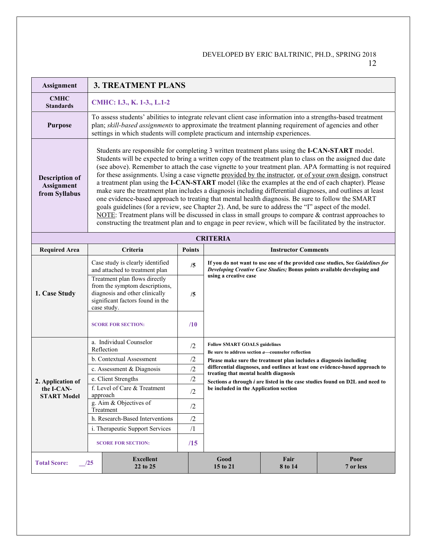| <b>Assignment</b>                                                                                                      | <b>3. TREATMENT PLANS</b>                                                                                                                                                                                                                                                                                                                                                                                                                                                                                                                                                                                                                                                                                                                                                                                                                                                                                                                                                                                                                                                                             |               |                                                                                                                                                                                    |                            |                                                                              |  |
|------------------------------------------------------------------------------------------------------------------------|-------------------------------------------------------------------------------------------------------------------------------------------------------------------------------------------------------------------------------------------------------------------------------------------------------------------------------------------------------------------------------------------------------------------------------------------------------------------------------------------------------------------------------------------------------------------------------------------------------------------------------------------------------------------------------------------------------------------------------------------------------------------------------------------------------------------------------------------------------------------------------------------------------------------------------------------------------------------------------------------------------------------------------------------------------------------------------------------------------|---------------|------------------------------------------------------------------------------------------------------------------------------------------------------------------------------------|----------------------------|------------------------------------------------------------------------------|--|
| <b>CMHC</b><br><b>Standards</b>                                                                                        | CMHC: I.3., K. 1-3., L.1-2                                                                                                                                                                                                                                                                                                                                                                                                                                                                                                                                                                                                                                                                                                                                                                                                                                                                                                                                                                                                                                                                            |               |                                                                                                                                                                                    |                            |                                                                              |  |
| <b>Purpose</b>                                                                                                         | To assess students' abilities to integrate relevant client case information into a strengths-based treatment<br>plan; skill-based assignments to approximate the treatment planning requirement of agencies and other<br>settings in which students will complete practicum and internship experiences.                                                                                                                                                                                                                                                                                                                                                                                                                                                                                                                                                                                                                                                                                                                                                                                               |               |                                                                                                                                                                                    |                            |                                                                              |  |
| <b>Description of</b><br><b>Assignment</b><br>from Syllabus                                                            | Students are responsible for completing 3 written treatment plans using the <b>I-CAN-START</b> model.<br>Students will be expected to bring a written copy of the treatment plan to class on the assigned due date<br>(see above). Remember to attach the case vignette to your treatment plan. APA formatting is not required<br>for these assignments. Using a case vignette provided by the instructor, or of your own design, construct<br>a treatment plan using the I-CAN-START model (like the examples at the end of each chapter). Please<br>make sure the treatment plan includes a diagnosis including differential diagnoses, and outlines at least<br>one evidence-based approach to treating that mental health diagnosis. Be sure to follow the SMART<br>goals guidelines (for a review, see Chapter 2). And, be sure to address the "I" aspect of the model.<br>NOTE: Treatment plans will be discussed in class in small groups to compare $\&$ contrast approaches to<br>constructing the treatment plan and to engage in peer review, which will be facilitated by the instructor. |               |                                                                                                                                                                                    |                            |                                                                              |  |
|                                                                                                                        |                                                                                                                                                                                                                                                                                                                                                                                                                                                                                                                                                                                                                                                                                                                                                                                                                                                                                                                                                                                                                                                                                                       |               | <b>CRITERIA</b>                                                                                                                                                                    |                            |                                                                              |  |
| <b>Required Area</b>                                                                                                   | Criteria                                                                                                                                                                                                                                                                                                                                                                                                                                                                                                                                                                                                                                                                                                                                                                                                                                                                                                                                                                                                                                                                                              | <b>Points</b> |                                                                                                                                                                                    | <b>Instructor Comments</b> |                                                                              |  |
| 1. Case Study                                                                                                          | Case study is clearly identified<br>and attached to treatment plan<br>Treatment plan flows directly<br>from the symptom descriptions,<br>diagnosis and other clinically                                                                                                                                                                                                                                                                                                                                                                                                                                                                                                                                                                                                                                                                                                                                                                                                                                                                                                                               | /5<br>/5      | If you do not want to use one of the provided case studies, See Guidelines for<br>Developing Creative Case Studies; Bonus points available developing and<br>using a creative case |                            |                                                                              |  |
|                                                                                                                        | significant factors found in the<br>case study.<br><b>SCORE FOR SECTION:</b>                                                                                                                                                                                                                                                                                                                                                                                                                                                                                                                                                                                                                                                                                                                                                                                                                                                                                                                                                                                                                          | /10           |                                                                                                                                                                                    |                            |                                                                              |  |
|                                                                                                                        | a. Individual Counselor<br>Reflection                                                                                                                                                                                                                                                                                                                                                                                                                                                                                                                                                                                                                                                                                                                                                                                                                                                                                                                                                                                                                                                                 | /2            | <b>Follow SMART GOALS guidelines</b><br>Be sure to address section <i>a</i> —counselor reflection                                                                                  |                            |                                                                              |  |
|                                                                                                                        | b. Contextual Assessment                                                                                                                                                                                                                                                                                                                                                                                                                                                                                                                                                                                                                                                                                                                                                                                                                                                                                                                                                                                                                                                                              | /2            | Please make sure the treatment plan includes a diagnosis including                                                                                                                 |                            |                                                                              |  |
|                                                                                                                        | c. Assessment & Diagnosis                                                                                                                                                                                                                                                                                                                                                                                                                                                                                                                                                                                                                                                                                                                                                                                                                                                                                                                                                                                                                                                                             | /2            | treating that mental health diagnosis                                                                                                                                              |                            | differential diagnoses, and outlines at least one evidence-based approach to |  |
| 2. Application of                                                                                                      | e. Client Strengths                                                                                                                                                                                                                                                                                                                                                                                                                                                                                                                                                                                                                                                                                                                                                                                                                                                                                                                                                                                                                                                                                   | /2            |                                                                                                                                                                                    |                            | Sections a through i are listed in the case studies found on D2L and need to |  |
| the I-CAN-<br><b>START Model</b>                                                                                       | f. Level of Care & Treatment<br>approach                                                                                                                                                                                                                                                                                                                                                                                                                                                                                                                                                                                                                                                                                                                                                                                                                                                                                                                                                                                                                                                              | /2            | be included in the Application section                                                                                                                                             |                            |                                                                              |  |
|                                                                                                                        | g. Aim & Objectives of<br>Treatment                                                                                                                                                                                                                                                                                                                                                                                                                                                                                                                                                                                                                                                                                                                                                                                                                                                                                                                                                                                                                                                                   | /2            |                                                                                                                                                                                    |                            |                                                                              |  |
|                                                                                                                        | h. Research-Based Interventions                                                                                                                                                                                                                                                                                                                                                                                                                                                                                                                                                                                                                                                                                                                                                                                                                                                                                                                                                                                                                                                                       | /2            |                                                                                                                                                                                    |                            |                                                                              |  |
|                                                                                                                        | i. Therapeutic Support Services                                                                                                                                                                                                                                                                                                                                                                                                                                                                                                                                                                                                                                                                                                                                                                                                                                                                                                                                                                                                                                                                       | $\sqrt{1}$    |                                                                                                                                                                                    |                            |                                                                              |  |
|                                                                                                                        | <b>SCORE FOR SECTION:</b>                                                                                                                                                                                                                                                                                                                                                                                                                                                                                                                                                                                                                                                                                                                                                                                                                                                                                                                                                                                                                                                                             | /15           |                                                                                                                                                                                    |                            |                                                                              |  |
| Poor<br><b>Excellent</b><br>Good<br>Fair<br><b>Total Score:</b><br>125<br>15 to 21<br>7 or less<br>22 to 25<br>8 to 14 |                                                                                                                                                                                                                                                                                                                                                                                                                                                                                                                                                                                                                                                                                                                                                                                                                                                                                                                                                                                                                                                                                                       |               |                                                                                                                                                                                    |                            |                                                                              |  |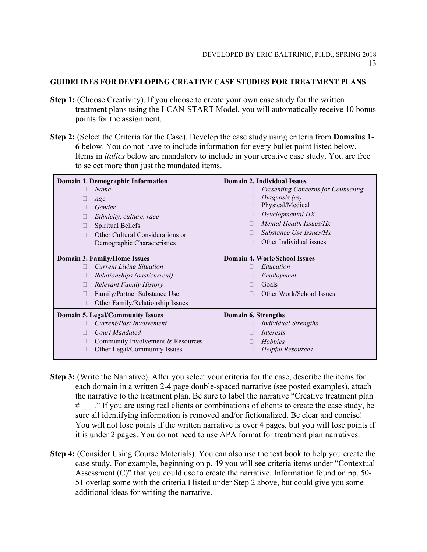### **GUIDELINES FOR DEVELOPING CREATIVE CASE STUDIES FOR TREATMENT PLANS**

- **Step 1:** (Choose Creativity). If you choose to create your own case study for the written treatment plans using the I-CAN-START Model, you will automatically receive 10 bonus points for the assignment.
- **Step 2:** (Select the Criteria for the Case). Develop the case study using criteria from **Domains 1- 6** below. You do not have to include information for every bullet point listed below. Items in *italics* below are mandatory to include in your creative case study. You are free to select more than just the mandated items.

| Domain 1. Demographic Information                 | Domain 2. Individual Issues               |
|---------------------------------------------------|-------------------------------------------|
| Name<br>П                                         | <b>Presenting Concerns for Counseling</b> |
| Age<br>u                                          | Diagnosis (es)<br>Ш                       |
| Gender<br>П                                       | Physical/Medical<br>Ш                     |
| Ethnicity, culture, race<br>Ш                     | Developmental HX<br>Ш                     |
| Spiritual Beliefs<br>□                            | Mental Health Issues/Hx<br>П              |
| Other Cultural Considerations or<br>П             | Substance Use Issues/Hx                   |
| Demographic Characteristics                       | Other Individual issues<br>П              |
| Domain 3. Family/Home Issues                      | Domain 4. Work/School Issues              |
| <b>Current Living Situation</b><br>Ш              | Education                                 |
| Relationships (past/current)<br>□                 | Employment                                |
| <b>Relevant Family History</b><br>Ш               | Goals                                     |
| Family/Partner Substance Use<br>П                 | Other Work/School Issues                  |
| Other Family/Relationship Issues<br>П             |                                           |
| <b>Domain 5. Legal/Community Issues</b>           | Domain 6. Strengths                       |
| Current/Past Involvement                          | <b>Individual Strengths</b>               |
| <b>Court Mandated</b><br>П                        | Interests<br>$\mathbf{L}$                 |
| Community Involvement & Resources<br>$\mathbf{I}$ | Hobbies                                   |
| Other Legal/Community Issues<br>$\Box$            | <b>Helpful Resources</b><br>Ш             |

- **Step 3:** (Write the Narrative). After you select your criteria for the case, describe the items for each domain in a written 2-4 page double-spaced narrative (see posted examples), attach the narrative to the treatment plan. Be sure to label the narrative "Creative treatment plan # \_\_\_." If you are using real clients or combinations of clients to create the case study, be sure all identifying information is removed and/or fictionalized. Be clear and concise! You will not lose points if the written narrative is over 4 pages, but you will lose points if it is under 2 pages. You do not need to use APA format for treatment plan narratives.
- **Step 4:** (Consider Using Course Materials). You can also use the text book to help you create the case study. For example, beginning on p. 49 you will see criteria items under "Contextual Assessment  $(C)$ " that you could use to create the narrative. Information found on pp. 50-51 overlap some with the criteria I listed under Step 2 above, but could give you some additional ideas for writing the narrative.